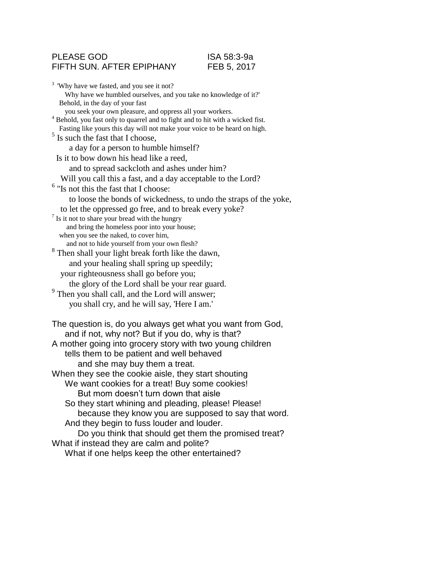### PLEASE GOD ISA 58:3-9a FIFTH SUN. AFTER EPIPHANY FEB 5, 2017

<sup>3</sup> 'Why have we fasted, and you see it not? Why have we humbled ourselves, and you take no knowledge of it?' Behold, in the day of your fast you seek your own pleasure, and oppress all your workers. <sup>4</sup> Behold, you fast only to quarrel and to fight and to hit with a wicked fist. Fasting like yours this day will not make your voice to be heard on high. <sup>5</sup> Is such the fast that I choose, a day for a person to humble himself? Is it to bow down his head like a reed, and to spread sackcloth and ashes under him? Will you call this a fast, and a day acceptable to the Lord? 6 "Is not this the fast that I choose: to loose the bonds of wickedness, to undo the straps of the yoke, to let the oppressed go free, and to break every yoke? <sup>7</sup> Is it not to share your bread with the hungry and bring the homeless poor into your house; when you see the naked, to cover him, and not to hide yourself from your own flesh? <sup>8</sup> Then shall your light break forth like the dawn, and your healing shall spring up speedily; your righteousness shall go before you; the glory of the Lord shall be your rear guard. <sup>9</sup> Then you shall call, and the Lord will answer; you shall cry, and he will say, 'Here I am.' The question is, do you always get what you want from God, and if not, why not? But if you do, why is that? A mother going into grocery story with two young children tells them to be patient and well behaved and she may buy them a treat. When they see the cookie aisle, they start shouting We want cookies for a treat! Buy some cookies! But mom doesn't turn down that aisle So they start whining and pleading, please! Please! because they know you are supposed to say that word. And they begin to fuss louder and louder. Do you think that should get them the promised treat? What if instead they are calm and polite? What if one helps keep the other entertained?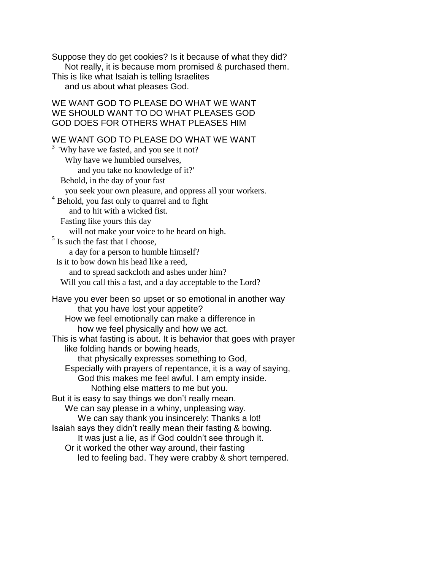Suppose they do get cookies? Is it because of what they did? Not really, it is because mom promised & purchased them. This is like what Isaiah is telling Israelites and us about what pleases God.

# WE WANT GOD TO PLEASE DO WHAT WE WANT WE SHOULD WANT TO DO WHAT PLEASES GOD GOD DOES FOR OTHERS WHAT PLEASES HIM

# WE WANT GOD TO PLEASE DO WHAT WE WANT

| <sup>3</sup> 'Why have we fasted, and you see it not?                                           |
|-------------------------------------------------------------------------------------------------|
| Why have we humbled ourselves,                                                                  |
| and you take no knowledge of it?'                                                               |
| Behold, in the day of your fast                                                                 |
| you seek your own pleasure, and oppress all your workers.                                       |
| <sup>4</sup> Behold, you fast only to quarrel and to fight                                      |
| and to hit with a wicked fist.                                                                  |
| Fasting like yours this day                                                                     |
| will not make your voice to be heard on high.                                                   |
| $5$ Is such the fast that I choose,                                                             |
| a day for a person to humble himself?                                                           |
| Is it to bow down his head like a reed,                                                         |
| and to spread sackcloth and ashes under him?                                                    |
| Will you call this a fast, and a day acceptable to the Lord?                                    |
| Have you ever been so upset or so emotional in another way<br>that you have lost your appetite? |
| How we feel emotionally can make a difference in                                                |
| how we feel physically and how we act.                                                          |
| This is what fasting is about. It is behavior that goes with prayer                             |
| like folding hands or bowing heads,                                                             |
| that physically expresses something to God,                                                     |
| Especially with prayers of repentance, it is a way of saying,                                   |
| God this makes me feel awful. I am empty inside.                                                |
| Nothing else matters to me but you.                                                             |
| But it is easy to say things we don't really mean.                                              |
| We can say please in a whiny, unpleasing way.                                                   |
| We can say thank you insincerely: Thanks a lot!                                                 |
| Isaiah says they didn't really mean their fasting & bowing.                                     |
| It was just a lie, as if God couldn't see through it.                                           |
| Or it worked the other way around, their fasting                                                |
| led to feeling bad. They were crabby & short tempered.                                          |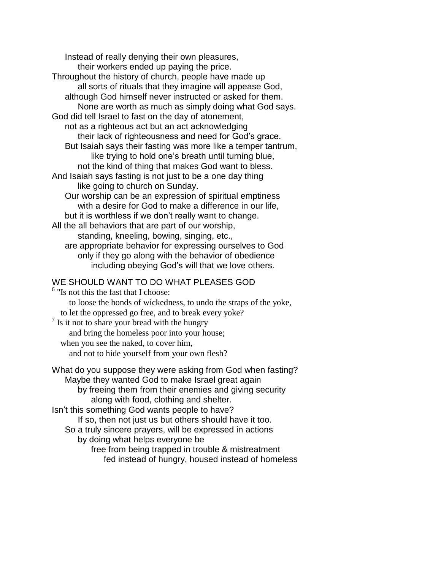Instead of really denying their own pleasures, their workers ended up paying the price. Throughout the history of church, people have made up all sorts of rituals that they imagine will appease God, although God himself never instructed or asked for them. None are worth as much as simply doing what God says. God did tell Israel to fast on the day of atonement, not as a righteous act but an act acknowledging their lack of righteousness and need for God's grace. But Isaiah says their fasting was more like a temper tantrum, like trying to hold one's breath until turning blue, not the kind of thing that makes God want to bless. And Isaiah says fasting is not just to be a one day thing like going to church on Sunday. Our worship can be an expression of spiritual emptiness with a desire for God to make a difference in our life, but it is worthless if we don't really want to change. All the all behaviors that are part of our worship, standing, kneeling, bowing, singing, etc., are appropriate behavior for expressing ourselves to God only if they go along with the behavior of obedience including obeying God's will that we love others. WE SHOULD WANT TO DO WHAT PLEASES GOD

# <sup>6</sup> "Is not this the fast that I choose: to loose the bonds of wickedness, to undo the straps of the yoke, to let the oppressed go free, and to break every yoke? <sup>7</sup> Is it not to share your bread with the hungry and bring the homeless poor into your house; when you see the naked, to cover him, and not to hide yourself from your own flesh?

What do you suppose they were asking from God when fasting? Maybe they wanted God to make Israel great again by freeing them from their enemies and giving security along with food, clothing and shelter. Isn't this something God wants people to have? If so, then not just us but others should have it too. So a truly sincere prayers, will be expressed in actions by doing what helps everyone be free from being trapped in trouble & mistreatment fed instead of hungry, housed instead of homeless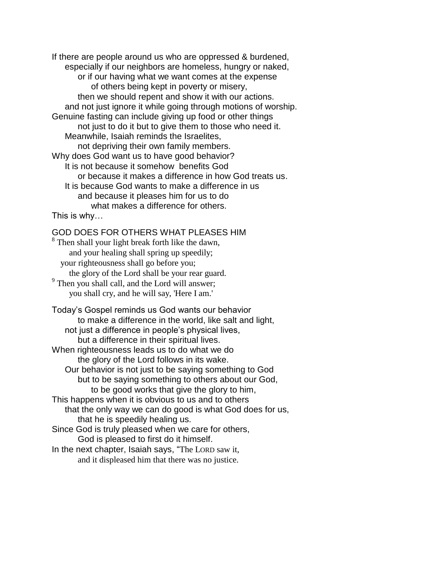If there are people around us who are oppressed & burdened, especially if our neighbors are homeless, hungry or naked, or if our having what we want comes at the expense of others being kept in poverty or misery, then we should repent and show it with our actions. and not just ignore it while going through motions of worship. Genuine fasting can include giving up food or other things not just to do it but to give them to those who need it. Meanwhile, Isaiah reminds the Israelites, not depriving their own family members. Why does God want us to have good behavior? It is not because it somehow benefits God or because it makes a difference in how God treats us. It is because God wants to make a difference in us and because it pleases him for us to do what makes a difference for others.

This is why…

## GOD DOES FOR OTHERS WHAT PLEASES HIM

<sup>8</sup> Then shall your light break forth like the dawn, and your healing shall spring up speedily; your righteousness shall go before you; the glory of the Lord shall be your rear guard. <sup>9</sup> Then you shall call, and the Lord will answer; you shall cry, and he will say, 'Here I am.'

Today's Gospel reminds us God wants our behavior to make a difference in the world, like salt and light, not just a difference in people's physical lives, but a difference in their spiritual lives. When righteousness leads us to do what we do the glory of the Lord follows in its wake. Our behavior is not just to be saying something to God but to be saying something to others about our God, to be good works that give the glory to him, This happens when it is obvious to us and to others that the only way we can do good is what God does for us, that he is speedily healing us. Since God is truly pleased when we care for others, God is pleased to first do it himself. In the next chapter, Isaiah says, "The LORD saw it,

and it displeased him that there was no justice.